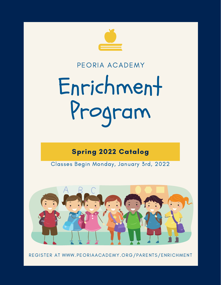

# PEORIA ACADEMY

# Enrichment Program

# Spring 2022 Catalog

Classes Begin Monday, January 3rd, 2022



REGISTER AT WWW.PEORIAACADEMY.ORG/PARENTS/ENRICHMENT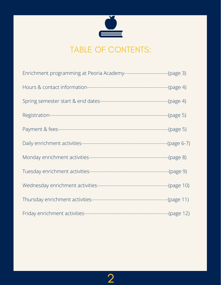

# TABLE OF CONTENTS:

| Enrichment programming at Peoria Academy----------------------------(page 3) |  |
|------------------------------------------------------------------------------|--|
|                                                                              |  |
|                                                                              |  |
|                                                                              |  |
|                                                                              |  |
|                                                                              |  |
|                                                                              |  |
|                                                                              |  |
|                                                                              |  |
|                                                                              |  |
|                                                                              |  |

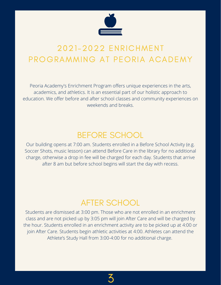

# 2021-2022 ENRICHMENT PROGRAMMING AT PEORIA ACADEMY

Peoria Academy's Enrichment Program offers unique experiences in the arts, academics, and athletics. It is an essential part of our holistic approach to education. We offer before and after school classes and community experiences on weekends and breaks.

# BEFORE SCHOOL

Our building opens at 7:00 am. Students enrolled in a Before School Activity (e.g. Soccer Shots, music lesson) can attend Before Care in the library for no additional charge, otherwise a drop in fee will be charged for each day. Students that arrive after 8 am but before school begins will start the day with recess.

# AFTER SCHOOL

Students are dismissed at 3:00 pm. Those who are not enrolled in an enrichment class and are not picked up by 3:05 pm will join After Care and will be charged by the hour. Students enrolled in an enrichment activity are to be picked up at 4:00 or join After Care. Students begin athletic activities at 4:00. Athletes can attend the Athlete's Study Hall from 3:00-4:00 for no additional charge.

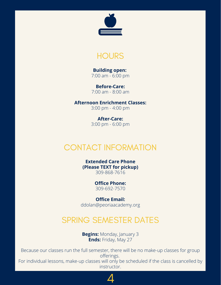



**Building open:** 7:00 am - 6:00 pm

**Before-Care:** 7:00 am - 8:00 am

**Afternoon Enrichment Classes:** 3:00 pm - 4:00 pm

> **After-Care:** 3:00 pm - 6:00 pm

# CONTACT INFORMATION

**Extended Care Phone (Please TEXT for pickup)** 309-868-7616

> **Office Phone:** 309-692-7570

**Office Email:** ddolan@peoriaacademy.org

# SPRING SEMESTER DATES

**Begins:** Monday, January 3 **Ends:** Friday, May 27

Because our classes run the full semester, there will be no make-up classes for group offerings. For individual lessons, make-up classes will only be scheduled if the class is cancelled by

instructor.

4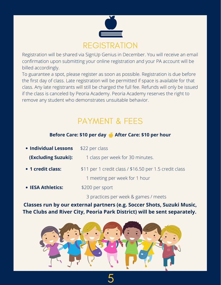

Registration will be shared via SignUp Genius in December. You will receive an email confirmation upon submitting your online registration and your PA account will be billed accordingly.

To guarantee a spot, please register as soon as possible. Registration is due before the first day of class. Late registration will be permitted if space is available for that class. Any late registrants will still be charged the full fee. Refunds will only be issued if the class is canceled by Peoria Academy. Peoria Academy reserves the right to remove any student who demonstrates unsuitable behavior.

# PAYMENT & FEES

# **Before Care: \$10 per day After Care: \$10 per hour**

| • Individual Lessons | \$22 per class                                         |
|----------------------|--------------------------------------------------------|
| (Excluding Suzuki):  | 1 class per week for 30 minutes.                       |
| • 1 credit class:    | \$11 per 1 credit class / \$16.50 per 1.5 credit class |
|                      | 1 meeting per week for 1 hour                          |
| • IESA Athletics:    | \$200 per sport                                        |
|                      | 3 practices per week & games / meets                   |

**Classes run by our external partners (e.g. Soccer Shots, Suzuki Music, The Clubs and River City, Peoria Park District) will be sent separately.**

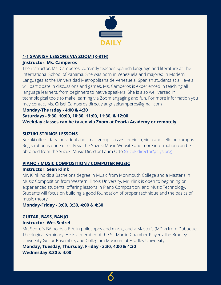

# **1-1 SPANISH LESSONS VIA ZOOM (K-8TH)**

#### **Instructor: Ms. Camperos**

The instructor, Ms. Camperos, currently teaches Spanish language and literature at The International School of Panama. She was born in Venezuela and majored in Modern Languages at the Universidad Metropolitana de Venezuela. Spanish students at all levels will participate in discussions and games. Ms. Camperos is experienced in teaching all language learners, from beginners to native speakers. She is also well versed in technological tools to make learning via Zoom engaging and fun. For more information you may contact Ms. Grisel Camperos directly at griselcamperos@gmail.com

# **Monday-Thursday - 4:00 & 4:30**

# **Saturdays - 9:30, 10:00, 10:30, 11:00, 11:30, & 12:00 Weekday classes can be taken via Zoom at Peoria Academy or remotely.**

# **SUZUKI STRINGS LESSONS**

Suzuki offers daily individual and small group classes for violin, viola and cello on campus. Registration is done directly via the Suzuki Music [Website](https://www.youthmusicillinois.org/suzuki-school-of-music.html) and more information can be obtained from the Suzuki Music Director Laura Otto ([suzukidirector@ciys.org](mailto:suzukidirector@ciys.org))

# **PIANO / MUSIC COMPOSITION / COMPUTER MUSIC**

# **Instructor: Sean Klink**

Mr. Klink holds a Bachelor's degree in Music from Monmouth College and a Master's in Music Composition from Western Illinois University. Mr. Klink is open to beginning or experienced students, offering lessons in Piano Composition, and Music Technology. Students will focus on building a good foundation of proper technique and the basics of music theory.

**Monday-Friday - 3:00, 3:30, 4:00 & 4:30**

# **GUITAR, BASS, BANJO**

# **Instructor: Wes Sedrel**

Mr. Sedrel's BA holds a B.A. in philosophy and music, and a Master's (MDiv) from Dubuque Theological Seminary. He is a member of the St. Martin Chamber Players, the Bradley University Guitar Ensemble, and Collegium Musicum at Bradley University.

**Monday, Tuesday, Thursday, Friday - 3:30, 4:00 & 4:30 Wednesday 3:30 & 4:00**

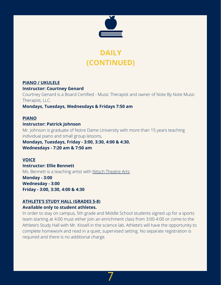

# **DAILY (CONTINUED)**

#### **PIANO / UKULELE**

#### **Instructor: Courtney Genard**

Courtney Genard is a Board Certified - Music Therapist and owner of Note By Note Music Therapist, LLC.

**Mondays, Tuesdays, Wednesdays & Fridays 7:50 am**

# **PIANO**

**Instructor: Patrick Johnson** Mr. Johnson is graduate of Notre Dame University with more than 15 years teaching individual piano and small group lessons,

**Mondays, Tuesdays, Friday - 3:00, 3:30, 4:00 & 4:30. Wednesdays - 7:20 am & 7:50 am**

# **VOICE**

**Instructor: Ellie Bennett** Ms. Bennett is a teaching artist with [Nitsch Theatre Arts](http://www.nitschtheatrearts.org/). **Monday - 3:00**

**Wednesday - 3:00 Friday - 3:00, 3:30, 4:00 & 4:30**

# **ATHLETE'S STUDY HALL (GRADES 5-8)**

#### **Available only to student athletes.**

In order to stay on campus, 5th grade and Middle School students signed up for a sports team starting at 4:00 must either join an enrichment class from 3:00-4:00 or come to the Athlete's Study Hall with Mr. Kissell in the science lab. Athlete's will have the opportunity to complete homework and read in a quiet, supervised setting. No separate registration is required and there is no additional charge.

7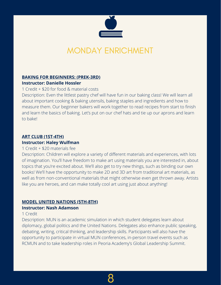

# MONDAY ENRICHMENT

#### **BAKING FOR BEGINNERS: (PREK-3RD) Instructor: Danielle Hossler**

#### 1 Credit + \$20 for food & material costs

Description: Even the littlest pastry chef will have fun in our baking class! We will learn all about important cooking & baking utensils, baking staples and ingredients and how to measure them. Our beginner bakers will work together to read recipes from start to finish and learn the basics of baking. Let's put on our chef hats and tie up our aprons and learn to bake!

# **ART CLUB (1ST-4TH)**

# **Instructor: Haley Wulfman**

#### 1 Credit + \$20 materials fee

Description: Children will explore a variety of different materials and experiences, with lots of imagination. You'll have freedom to make art using materials you are interested in, about topics that you're excited about. We'll also get to try new things, such as binding our own books! We'll have the opportunity to make 2D and 3D art from traditional art materials, as well as from non-conventional materials that might otherwise even get thrown away. Artists like you are heroes, and can make totally cool art using just about anything!

# **MODEL UNITED NATIONS (5TH-8TH)**

#### **Instructor: Nash Adamson**

#### 1 Credit

Description: MUN is an academic simulation in which student delegates learn about diplomacy, global politics and the United Nations. Delegates also enhance public speaking, debating, writing, critical thinking, and leadership skills. Participants will also have the opportunity to participate in virtual MUN conferences, in-person travel events such as [RCMUN](http://www.rcmun.org/) and to take leadership roles in Peoria Academy's Global Leadership Summit.

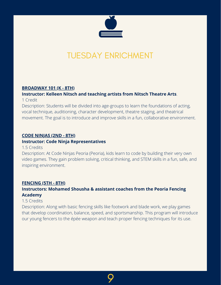

# TUESDAY ENRICHMENT

#### **BROADWAY 101 (K - 8TH)**

# **Instructor: Kelleen Nitsch and teaching artists from [Nitsch Theatre Arts](http://www.nitschtheatrearts.org/)**.

1 Credit

Description: Students will be divided into age-groups to learn the foundations of acting, vocal technique, auditioning, character development, theatre staging, and theatrical movement. The goal is to introduce and improve skills in a fun, collaborative environment.

# **CODE NINJAS (2ND - 8TH)**

#### **Instructor: Code Ninja Representatives**

1.5 Credits

Description: At Code Ninjas Peoria (Peoria), kids learn to code by building their very own video games. They gain problem solving, critical thinking, and STEM skills in a fun, safe, and inspiring environment.

#### **FENCING (5TH - 8TH)**

# **Instructors: Mohamed Shousha & assistant coaches from the Peoria Fencing Academy**

#### 1.5 Credits

Description: Along with basic fencing skills like footwork and blade work, we play games that develop coordination, balance, speed, and sportsmanship. This program will introduce our young fencers to the épée weapon and teach proper fencing techniques for its use.

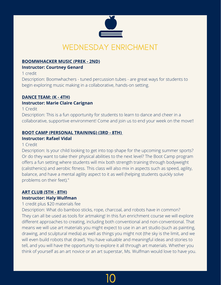

# **BOOMWHACKER MUSIC (PREK - 2ND)**

#### **Instructor: Courtney Genard**

1 credit

Description: Boomwhachers - tuned percussion tubes - are great ways for students to begin exploring music making in a collaborative, hands-on setting.

# **DANCE TEAM: (K - 4TH)**

# **Instructor: [Marie Claire Carignan](mailto:mcarignan@peoriaacademy.org)**

1 Credit

Description: This is a fun opportunity for students to learn to dance and cheer in a collaborative, supportive environment! Come and join us to end your week on the move!!

# **BOOT CAMP (PERSONAL TRAINING) (3RD - 8TH)**

# **Instructor: Rafael Vidal**

1 Credit

Description: Is your child looking to get into top shape for the upcoming summer sports? Or do they want to take their physical abilities to the next level? The Boot Camp program offers a fun setting where students will mix both strength training through bodyweight (calisthenics) and aerobic fitness. This class will also mix in aspects such as speed, agility, balance, and have a mental agility aspect to it as well (helping students quickly solve problems on their feet)."

# **ART CLUB (5TH - 8TH) Instructor: Haly Wulfman**

# 1 credit plus \$20 materials fee

Description: What do bamboo sticks, rope, charcoal, and robots have in common? They can all be used as tools for artmaking! In this fun enrichment course we will explore different approaches to creating, including both conventional and non-conventional. That means we will use art materials you might expect to use in an art studio (such as painting, drawing, and sculptural media) as well as things you might not (the sky is the limit, and we will even build robots that draw!). You have valuable and meaningful ideas and stories to tell, and you will have the opportunity to explore it all through art materials. Whether you think of yourself as an art novice or an art superstar, Ms. Wulfman would love to have you.

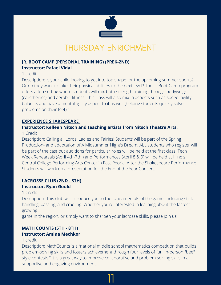

#### **JR. BOOT CAMP (PERSONAL TRAINING) (PREK-2ND) Instructor: Rafael Vidal**

1 credit

Description: Is your child looking to get into top shape for the upcoming summer sports? Or do they want to take their physical abilities to the next level? The Jr. Boot Camp program offers a fun setting where students will mix both strength training through bodyweight (calisthenics) and aerobic fitness. This class will also mix in aspects such as speed, agility, balance, and have a mental agility aspect to it as well (helping students quickly solve problems on their feet)."

# **EXPERIENCE SHAKESPEARE**

# **Instructor: Kelleen Nitsch and teaching artists from [Nitsch Theatre Arts.](http://www.nitschtheatrearts.org/)**

# 1 Credit

Description: Calling all Lords, Ladies and Fairies! Students will be part of the Spring Production- and adaptation of A Midsummer Night's Dream. ALL students who register will be part of the cast but auditions for particular roles will be held at the first class. Tech Week Rehearsals (April 4th-7th ) and Performances (April 8 & 9) will be held at Illinois Central College Performing Arts Center in East Peoria. After the Shakespeare Performance Students will work on a presentation for the End of the Year Concert.

# **LACROSSE CLUB (2ND - 8TH)**

# **Instructor: Ryan Gould**

1 Credit

Description: This club will introduce you to the fundamentals of the game, including stick handling, passing, and cradling. Whether you're interested in learning about the fastest growing

game in the region, or simply want to sharpen your lacrosse skills, please join us!

# **MATH COUNTS (5TH - 8TH)**

# **Instructor: [Amina Mechkor](mailto:amechkor@peoriaacademy.org)**

# 1 credit

Description: [MathCounts](https://www.mathcounts.org/) is a "national middle school mathematics competition that builds problem-solving skills and fosters achievement through four levels of fun, in-person "bee" style contests." It is a great way to improve collaborative and problem solving skills in a supportive and engaging environment.